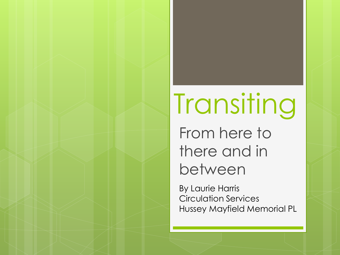# Transiting From here to there and in between

By Laurie Harris Circulation Services Hussey Mayfield Memorial PL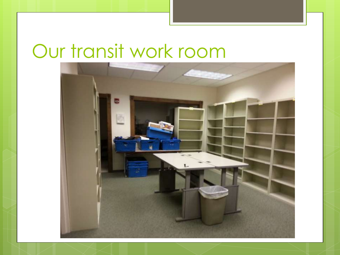### Our transit work room

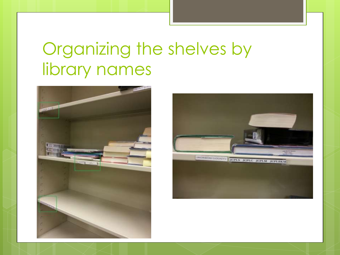#### Organizing the shelves by library names



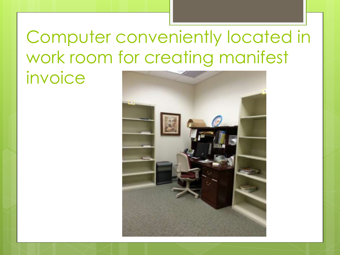#### Computer conveniently located in work room for creating manifest invoice

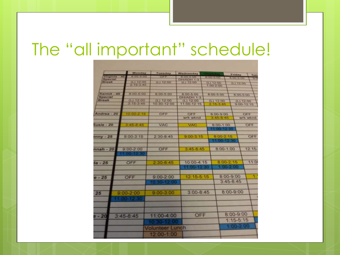#### The "all important" schedule!

|                  |               | <b>Miscontage</b> | Tuesday           | <b>Wednesday</b> |                                 |                  | Friday             |                  |              |
|------------------|---------------|-------------------|-------------------|------------------|---------------------------------|------------------|--------------------|------------------|--------------|
| Virginia - 40    |               | 8 00-5 00         | CIFF              | <b>CHANH 1-3</b> | 8.00-5:00                       |                  | <b>BO-5-00</b>     |                  | Sint<br>3930 |
| Special<br>Break |               | (1)1200           | (1)1200           | (1) 12 00        |                                 |                  |                    |                  |              |
|                  |               | 2 15 3 45         |                   |                  | $(1)$ 12,00<br><b>T UO-2 00</b> |                  | (1, 1, 1, 2, 1, 0) |                  |              |
|                  |               |                   |                   |                  |                                 |                  |                    |                  |              |
| $KerrnR - 40$    |               | $800-500$         | 8:00-5:00         | 8.00-5.00        |                                 |                  |                    |                  |              |
| <b>Special</b>   |               |                   |                   | DHIADH 1-3       | 8:00-5:00                       |                  | 00.0-00.0          |                  |              |
| Break            |               | (L) 12:00         | $(L)$ 12 00       | $(L)$ 12.00      |                                 | (1) 12.00        |                    | (1, 12, 00)      |              |
|                  |               | $315-345$         | 10 30 12 00       | 11:00-12:15      |                                 | $2 - 15 - 345$   |                    | $0.00 - 12 - 15$ |              |
|                  |               |                   |                   |                  |                                 |                  |                    |                  |              |
| Andrea - 20      |               | 10 00 2 15        | OFF               | OFF              |                                 | <b>B:00-0:00</b> |                    | OIT              |              |
|                  |               |                   |                   | wrk wknd         |                                 | 3:46-8:45        | <b>WEN WHITE</b>   |                  |              |
|                  |               |                   |                   |                  |                                 |                  |                    |                  |              |
| $Sustie - 20$    |               | 3.45-8.45         | <b>VAC</b>        | <b>VAC</b>       |                                 | 8:00-1:00        |                    | OFF              |              |
|                  |               |                   |                   |                  |                                 |                  |                    |                  |              |
|                  |               |                   |                   |                  |                                 |                  |                    |                  |              |
| $mny - 25$       |               | $9.00 - 3.15$     | $2:30 - 8:45$     | $9:00 - 3:15$    |                                 | 8:00-2:15        |                    | OFF              |              |
|                  |               |                   |                   |                  |                                 | <b>CIECOS PS</b> |                    |                  |              |
|                  |               |                   |                   |                  |                                 |                  |                    |                  |              |
| $nnah - 20$      |               | $9.00 - 2.00$     | OFF               | $3:45 - 8:45$    |                                 | 8:00-1:00        |                    | $12:15-$         |              |
|                  |               |                   |                   |                  |                                 |                  |                    |                  |              |
|                  |               |                   |                   |                  |                                 |                  |                    |                  |              |
|                  |               |                   |                   |                  |                                 |                  |                    |                  | 11:0         |
| $ia - 25$        | OFF           |                   | $2,30-8,45$       |                  | 10:00-4:15                      |                  | 8:00-2:15          |                  |              |
|                  |               |                   |                   |                  |                                 | $1.00 - 2.00$    |                    |                  |              |
|                  |               |                   |                   |                  |                                 |                  |                    |                  |              |
| $-25$            |               | OFF               | $9:00 - 2:00$     | 12:15-5:15       |                                 | 8:00-9:00        |                    |                  | A.           |
|                  |               |                   | → 第410 西 36 花 610 |                  |                                 | $3:45-8:45$      |                    |                  |              |
|                  |               |                   |                   |                  |                                 |                  |                    |                  |              |
|                  |               |                   |                   |                  |                                 |                  |                    |                  |              |
| 25               | $9:00 - 2:00$ |                   | $9:00 - 3:00$     | $3:00 - 8:45$    |                                 | 00:0-9:00        |                    |                  |              |
|                  |               |                   |                   |                  |                                 |                  |                    |                  |              |
|                  |               |                   |                   |                  |                                 |                  |                    |                  |              |
|                  |               |                   |                   |                  |                                 |                  |                    |                  |              |
|                  |               |                   |                   |                  |                                 |                  |                    |                  |              |
|                  |               |                   |                   |                  | OFF                             |                  | 8:00-9:00          |                  |              |
| $-20$            |               | $3:45 - 8:45$     | 11:00-4:00        |                  |                                 |                  |                    |                  |              |
|                  |               |                   |                   |                  |                                 |                  | $1:15-5:15$        |                  |              |
|                  |               |                   |                   |                  |                                 |                  | (0.152)            |                  |              |
|                  |               |                   | Volunteer Lunch   |                  |                                 |                  |                    |                  |              |
|                  |               |                   | 12:00-1:00        |                  |                                 |                  |                    |                  |              |
|                  |               |                   |                   |                  |                                 |                  |                    |                  |              |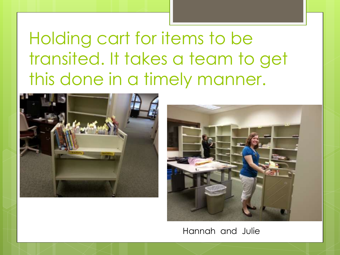Holding cart for items to be transited. It takes a team to get this done in a timely manner.





Hannah and Julie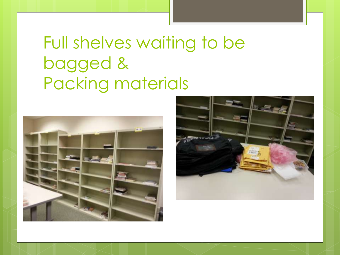### Full shelves waiting to be bagged & Packing materials



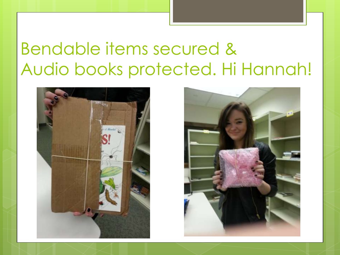#### Bendable items secured & Audio books protected. Hi Hannah!



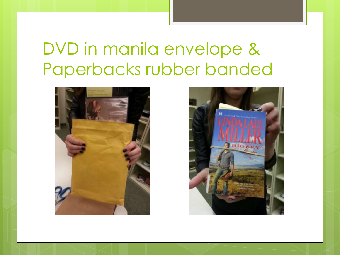### DVD in manila envelope & Paperbacks rubber banded



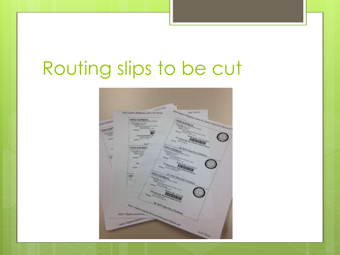## Routing slips to be cut

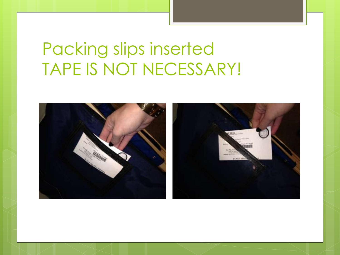### Packing slips inserted TAPE IS NOT NECESSARY!

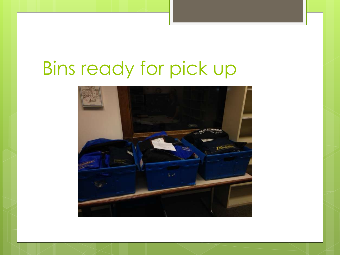## Bins ready for pick up

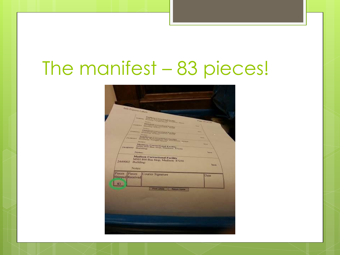### The manifest – 83 pieces!

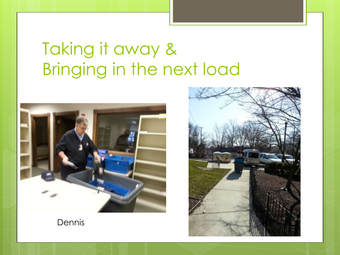### Taking it away & Bringing in the next load



Dennis

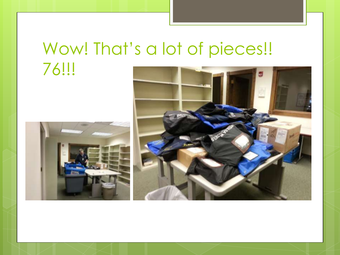#### Wow! That's a lot of pieces!! 76!!!



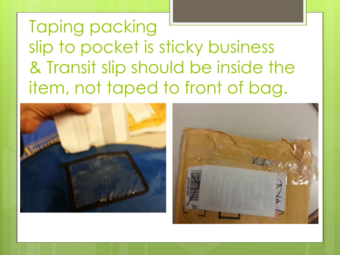Taping packing slip to pocket is sticky business & Transit slip should be inside the item, not taped to front of bag.

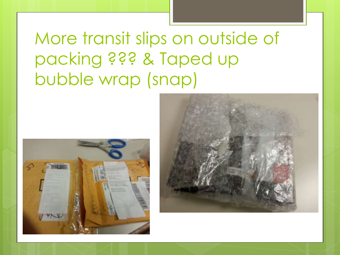More transit slips on outside of packing ??? & Taped up bubble wrap (snap)



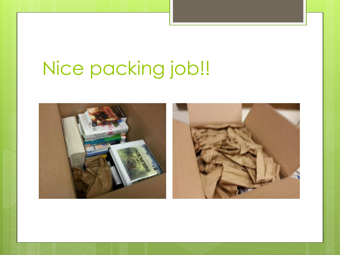# Nice packing job!!

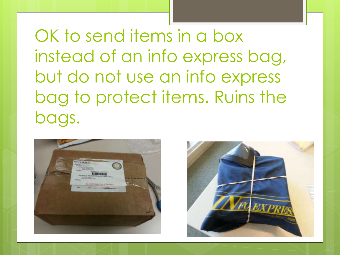OK to send items in a box instead of an info express bag, but do not use an info express bag to protect items. Ruins the bags.



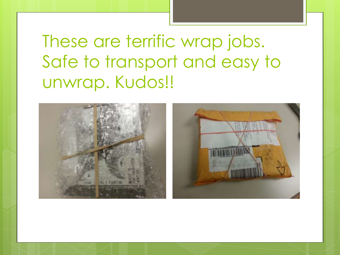### These are terrific wrap jobs. Safe to transport and easy to unwrap. Kudos!!

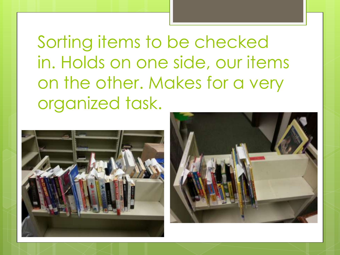Sorting items to be checked in. Holds on one side, our items on the other. Makes for a very organized task.



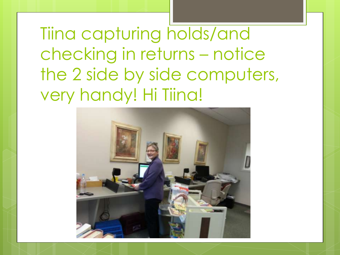Tiina capturing holds/and checking in returns – notice the 2 side by side computers, very handy! Hi Tiina!

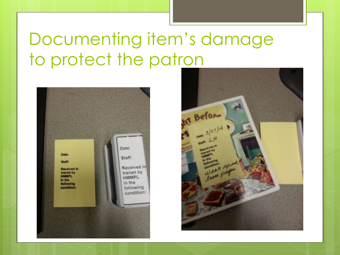### Documenting item's damage to protect the patron